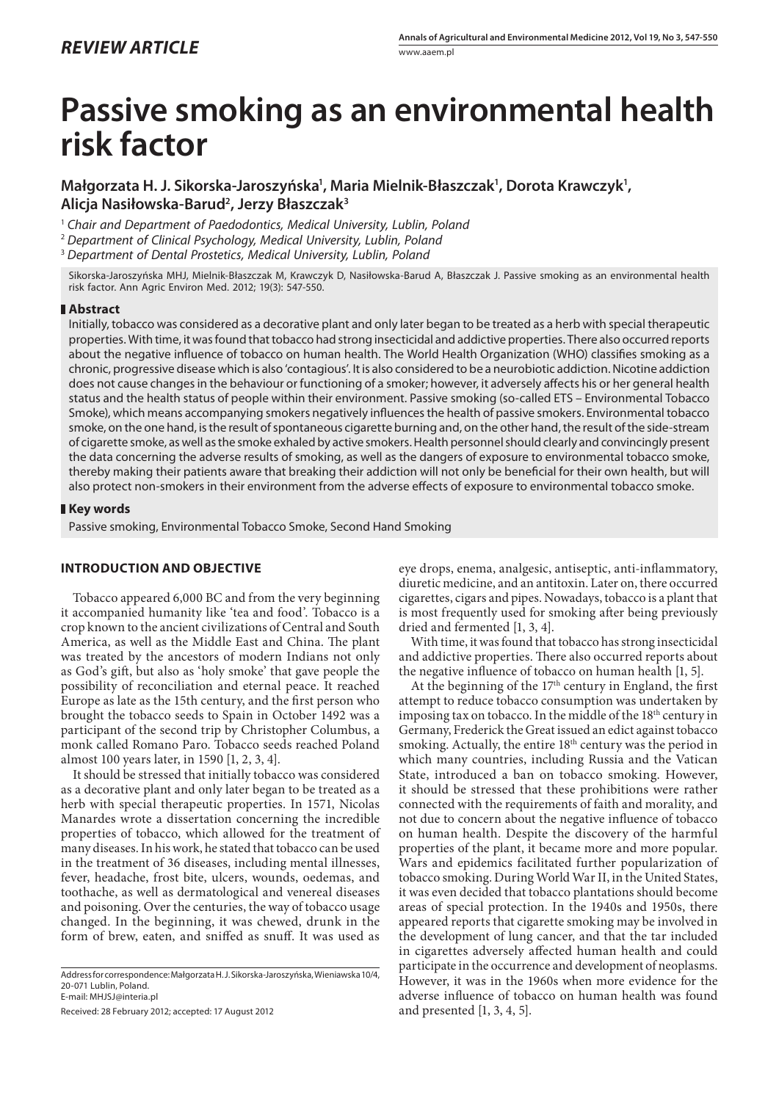# **Passive smoking as an environmental health risk factor**

Małgorzata H. J. Sikorska-Jaroszyńska<sup>,</sup> Maria Mielnik-Błaszczak<sup>,</sup> Dorota Krawczyk<sup>,</sup> **Alicja Nasiłowska-Barud2 , Jerzy Błaszczak3**

<sup>1</sup> *Chair and Department of Paedodontics, Medical University, Lublin, Poland*

<sup>2</sup> *Department of Clinical Psychology, Medical University, Lublin, Poland*

<sup>3</sup> *Department of Dental Prostetics, Medical University, Lublin, Poland*

Sikorska-Jaroszyńska MHJ, Mielnik-Błaszczak M, Krawczyk D, Nasiłowska-Barud A, Błaszczak J. Passive smoking as an environmental health risk factor. Ann Agric Environ Med. 2012; 19(3): 547-550.

#### **Abstract**

Initially, tobacco was considered as a decorative plant and only later began to be treated as a herb with special therapeutic properties. With time, it was found that tobacco had strong insecticidal and addictive properties. There also occurred reports about the negative influence of tobacco on human health. The World Health Organization (WHO) classifies smoking as a chronic, progressive disease which is also 'contagious'. It is also considered to be a neurobiotic addiction. Nicotine addiction does not cause changes in the behaviour or functioning of a smoker; however, it adversely affects his or her general health status and the health status of people within their environment. Passive smoking (so-called ETS – Environmental Tobacco Smoke), which means accompanying smokers negatively influences the health of passive smokers. Environmental tobacco smoke, on the one hand, is the result of spontaneous cigarette burning and, on the other hand, the result of the side-stream of cigarette smoke, as well as the smoke exhaled by active smokers. Health personnel should clearly and convincingly present the data concerning the adverse results of smoking, as well as the dangers of exposure to environmental tobacco smoke, thereby making their patients aware that breaking their addiction will not only be beneficial for their own health, but will also protect non-smokers in their environment from the adverse effects of exposure to environmental tobacco smoke.

## **Key words**

Passive smoking, Environmental Tobacco Smoke, Second Hand Smoking

## **Introduction and objective**

Tobacco appeared 6,000 BC and from the very beginning it accompanied humanity like 'tea and food'. Tobacco is a crop known to the ancient civilizations of Central and South America, as well as the Middle East and China. The plant was treated by the ancestors of modern Indians not only as God's gift, but also as 'holy smoke' that gave people the possibility of reconciliation and eternal peace. It reached Europe as late as the 15th century, and the first person who brought the tobacco seeds to Spain in October 1492 was a participant of the second trip by Christopher Columbus, a monk called Romano Paro. Tobacco seeds reached Poland almost 100 years later, in 1590 [1, 2, 3, 4].

It should be stressed that initially tobacco was considered as a decorative plant and only later began to be treated as a herb with special therapeutic properties. In 1571, Nicolas Manardes wrote a dissertation concerning the incredible properties of tobacco, which allowed for the treatment of many diseases. In his work, he stated that tobacco can be used in the treatment of 36 diseases, including mental illnesses, fever, headache, frost bite, ulcers, wounds, oedemas, and toothache, as well as dermatological and venereal diseases and poisoning. Over the centuries, the way of tobacco usage changed. In the beginning, it was chewed, drunk in the form of brew, eaten, and sniffed as snuff. It was used as

Received: 28 February 2012; accepted: 17 August 2012

eye drops, enema, analgesic, antiseptic, anti-inflammatory, diuretic medicine, and an antitoxin. Later on, there occurred cigarettes, cigars and pipes. Nowadays, tobacco is a plant that is most frequently used for smoking after being previously dried and fermented [1, 3, 4].

With time, it was found that tobacco has strong insecticidal and addictive properties. There also occurred reports about the negative influence of tobacco on human health [1, 5].

At the beginning of the  $17<sup>th</sup>$  century in England, the first attempt to reduce tobacco consumption was undertaken by imposing tax on tobacco. In the middle of the 18<sup>th</sup> century in Germany, Frederick the Great issued an edict against tobacco smoking. Actually, the entire 18<sup>th</sup> century was the period in which many countries, including Russia and the Vatican State, introduced a ban on tobacco smoking. However, it should be stressed that these prohibitions were rather connected with the requirements of faith and morality, and not due to concern about the negative influence of tobacco on human health. Despite the discovery of the harmful properties of the plant, it became more and more popular. Wars and epidemics facilitated further popularization of tobacco smoking. During World War II, in the United States, it was even decided that tobacco plantations should become areas of special protection. In the 1940s and 1950s, there appeared reports that cigarette smoking may be involved in the development of lung cancer, and that the tar included in cigarettes adversely affected human health and could participate in the occurrence and development of neoplasms. However, it was in the 1960s when more evidence for the adverse influence of tobacco on human health was found and presented [1, 3, 4, 5].

Address for correspondence: Małgorzata H. J. Sikorska-Jaroszyńska, Wieniawska 10/4, 20-071 Lublin, Poland. E-mail: MHJSJ@interia.pl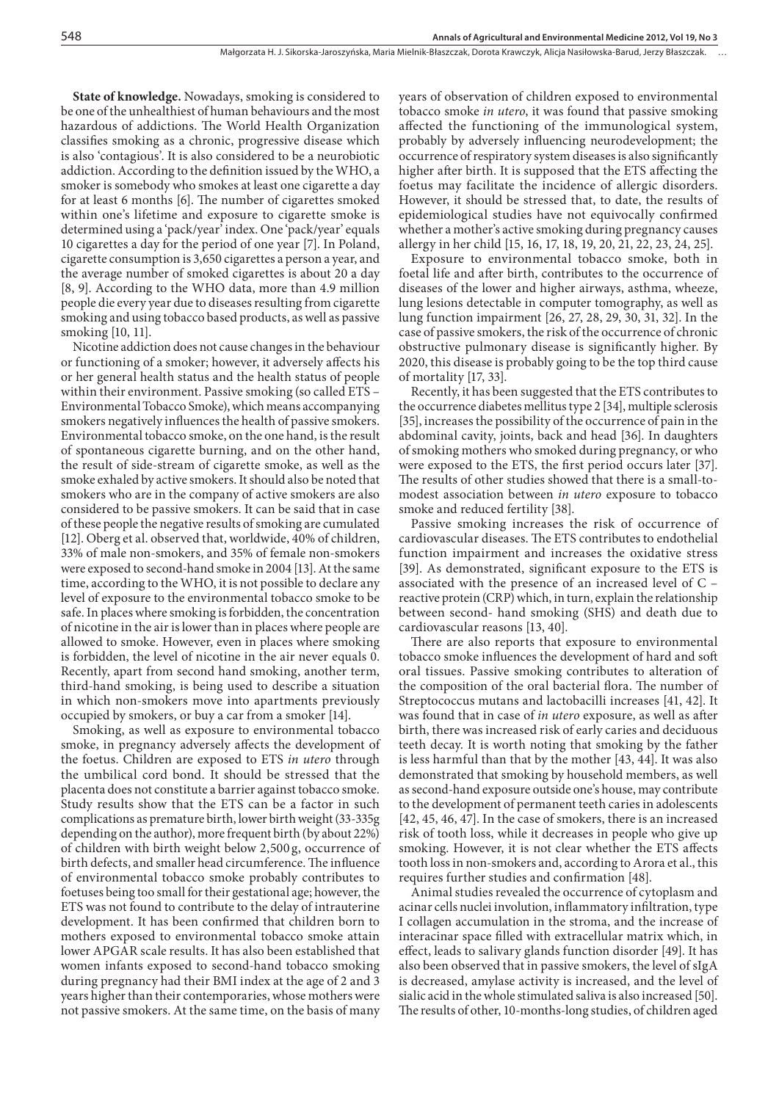**State of knowledge.** Nowadays, smoking is considered to be one of the unhealthiest of human behaviours and the most hazardous of addictions. The World Health Organization classifies smoking as a chronic, progressive disease which is also 'contagious'. It is also considered to be a neurobiotic addiction. According to the definition issued by the WHO, a smoker is somebody who smokes at least one cigarette a day for at least 6 months [6]. The number of cigarettes smoked within one's lifetime and exposure to cigarette smoke is determined using a 'pack/year' index. One 'pack/year' equals 10 cigarettes a day for the period of one year [7]. In Poland, cigarette consumption is 3,650 cigarettes a person a year, and the average number of smoked cigarettes is about 20 a day [8, 9]. According to the WHO data, more than 4.9 million people die every year due to diseases resulting from cigarette smoking and using tobacco based products, as well as passive smoking [10, 11].

Nicotine addiction does not cause changes in the behaviour or functioning of a smoker; however, it adversely affects his or her general health status and the health status of people within their environment. Passive smoking (so called ETS – Environmental Tobacco Smoke), which means accompanying smokers negatively influences the health of passive smokers. Environmental tobacco smoke, on the one hand, is the result of spontaneous cigarette burning, and on the other hand, the result of side-stream of cigarette smoke, as well as the smoke exhaled by active smokers. It should also be noted that smokers who are in the company of active smokers are also considered to be passive smokers. It can be said that in case of these people the negative results of smoking are cumulated [12]. Oberg et al. observed that, worldwide, 40% of children, 33% of male non-smokers, and 35% of female non-smokers were exposed to second-hand smoke in 2004 [13]. At the same time, according to the WHO, it is not possible to declare any level of exposure to the environmental tobacco smoke to be safe. In places where smoking is forbidden, the concentration of nicotine in the air is lower than in places where people are allowed to smoke. However, even in places where smoking is forbidden, the level of nicotine in the air never equals 0. Recently, apart from second hand smoking, another term, third-hand smoking, is being used to describe a situation in which non-smokers move into apartments previously occupied by smokers, or buy a car from a smoker [14].

Smoking, as well as exposure to environmental tobacco smoke, in pregnancy adversely affects the development of the foetus. Children are exposed to ETS *in utero* through the umbilical cord bond. It should be stressed that the placenta does not constitute a barrier against tobacco smoke. Study results show that the ETS can be a factor in such complications as premature birth, lower birth weight (33-335g depending on the author), more frequent birth (by about 22%) of children with birth weight below 2,500 g, occurrence of birth defects, and smaller head circumference. The influence of environmental tobacco smoke probably contributes to foetuses being too small for their gestational age; however, the ETS was not found to contribute to the delay of intrauterine development. It has been confirmed that children born to mothers exposed to environmental tobacco smoke attain lower APGAR scale results. It has also been established that women infants exposed to second-hand tobacco smoking during pregnancy had their BMI index at the age of 2 and 3 years higher than their contemporaries, whose mothers were not passive smokers. At the same time, on the basis of many

years of observation of children exposed to environmental tobacco smoke *in utero*, it was found that passive smoking affected the functioning of the immunological system, probably by adversely influencing neurodevelopment; the occurrence of respiratory system diseases is also significantly higher after birth. It is supposed that the ETS affecting the foetus may facilitate the incidence of allergic disorders. However, it should be stressed that, to date, the results of epidemiological studies have not equivocally confirmed whether a mother's active smoking during pregnancy causes allergy in her child [15, 16, 17, 18, 19, 20, 21, 22, 23, 24, 25].

Exposure to environmental tobacco smoke, both in foetal life and after birth, contributes to the occurrence of diseases of the lower and higher airways, asthma, wheeze, lung lesions detectable in computer tomography, as well as lung function impairment [26, 27, 28, 29, 30, 31, 32]. In the case of passive smokers, the risk of the occurrence of chronic obstructive pulmonary disease is significantly higher. By 2020, this disease is probably going to be the top third cause of mortality [17, 33].

Recently, it has been suggested that the ETS contributes to the occurrence diabetes mellitus type 2 [34], multiple sclerosis [35], increases the possibility of the occurrence of pain in the abdominal cavity, joints, back and head [36]. In daughters of smoking mothers who smoked during pregnancy, or who were exposed to the ETS, the first period occurs later [37]. The results of other studies showed that there is a small-tomodest association between *in utero* exposure to tobacco smoke and reduced fertility [38].

Passive smoking increases the risk of occurrence of cardiovascular diseases. The ETS contributes to endothelial function impairment and increases the oxidative stress [39]. As demonstrated, significant exposure to the ETS is associated with the presence of an increased level of C – reactive protein (CRP) which, in turn, explain the relationship between second- hand smoking (SHS) and death due to cardiovascular reasons [13, 40].

There are also reports that exposure to environmental tobacco smoke influences the development of hard and soft oral tissues. Passive smoking contributes to alteration of the composition of the oral bacterial flora. The number of Streptococcus mutans and lactobacilli increases [41, 42]. It was found that in case of *in utero* exposure, as well as after birth, there was increased risk of early caries and deciduous teeth decay. It is worth noting that smoking by the father is less harmful than that by the mother [43, 44]. It was also demonstrated that smoking by household members, as well as second-hand exposure outside one's house, may contribute to the development of permanent teeth caries in adolescents [42, 45, 46, 47]. In the case of smokers, there is an increased risk of tooth loss, while it decreases in people who give up smoking. However, it is not clear whether the ETS affects tooth loss in non-smokers and, according to Arora et al., this requires further studies and confirmation [48].

Animal studies revealed the occurrence of cytoplasm and acinar cells nuclei involution, inflammatory infiltration, type I collagen accumulation in the stroma, and the increase of interacinar space filled with extracellular matrix which, in effect, leads to salivary glands function disorder [49]. It has also been observed that in passive smokers, the level of sIgA is decreased, amylase activity is increased, and the level of sialic acid in the whole stimulated saliva is also increased [50]. The results of other, 10-months-long studies, of children aged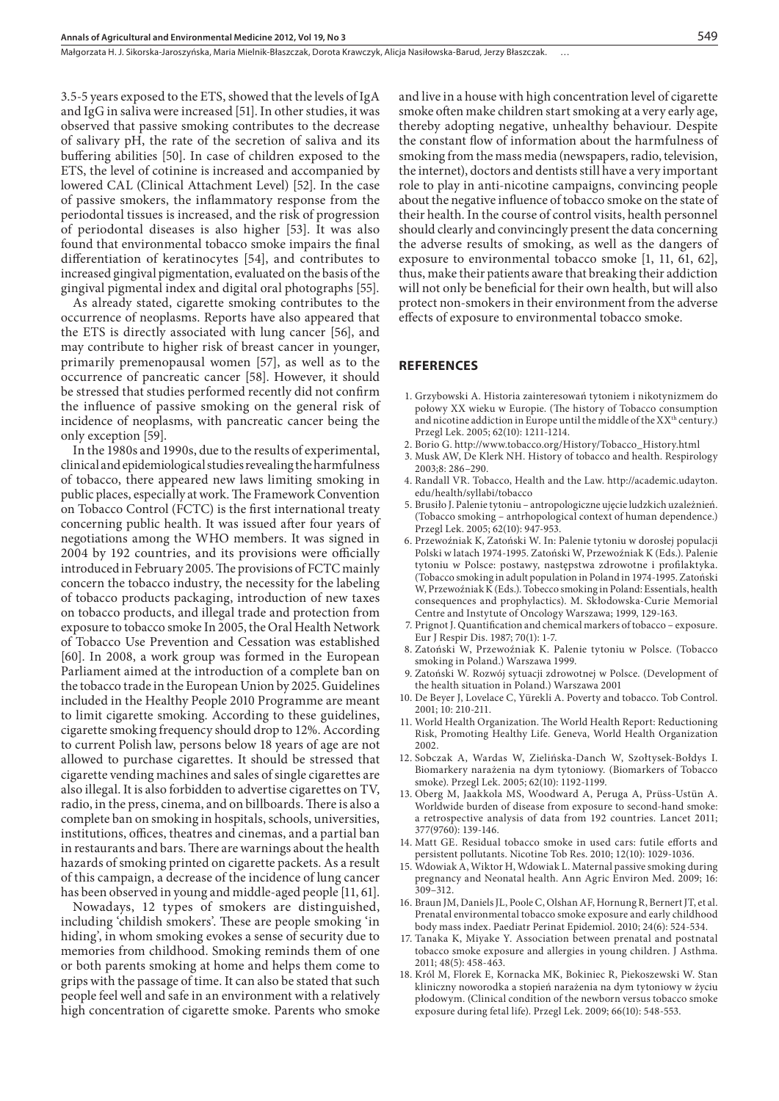3.5-5 years exposed to the ETS, showed that the levels of IgA and IgG in saliva were increased [51]. In other studies, it was observed that passive smoking contributes to the decrease of salivary pH, the rate of the secretion of saliva and its buffering abilities [50]. In case of children exposed to the ETS, the level of cotinine is increased and accompanied by lowered CAL (Clinical Attachment Level) [52]. In the case of passive smokers, the inflammatory response from the periodontal tissues is increased, and the risk of progression of periodontal diseases is also higher [53]. It was also found that environmental tobacco smoke impairs the final differentiation of keratinocytes [54], and contributes to increased gingival pigmentation, evaluated on the basis of the gingival pigmental index and digital oral photographs [55].

As already stated, cigarette smoking contributes to the occurrence of neoplasms. Reports have also appeared that the ETS is directly associated with lung cancer [56], and may contribute to higher risk of breast cancer in younger, primarily premenopausal women [57], as well as to the occurrence of pancreatic cancer [58]. However, it should be stressed that studies performed recently did not confirm the influence of passive smoking on the general risk of incidence of neoplasms, with pancreatic cancer being the only exception [59].

In the 1980s and 1990s, due to the results of experimental, clinical and epidemiological studies revealing the harmfulness of tobacco, there appeared new laws limiting smoking in public places, especially at work. The Framework Convention on Tobacco Control (FCTC) is the first international treaty concerning public health. It was issued after four years of negotiations among the WHO members. It was signed in 2004 by 192 countries, and its provisions were officially introduced in February 2005. The provisions of FCTC mainly concern the tobacco industry, the necessity for the labeling of tobacco products packaging, introduction of new taxes on tobacco products, and illegal trade and protection from exposure to tobacco smoke In 2005, the Oral Health Network of Tobacco Use Prevention and Cessation was established [60]. In 2008, a work group was formed in the European Parliament aimed at the introduction of a complete ban on the tobacco trade in the European Union by 2025. Guidelines included in the Healthy People 2010 Programme are meant to limit cigarette smoking. According to these guidelines, cigarette smoking frequency should drop to 12%. According to current Polish law, persons below 18 years of age are not allowed to purchase cigarettes. It should be stressed that cigarette vending machines and sales of single cigarettes are also illegal. It is also forbidden to advertise cigarettes on TV, radio, in the press, cinema, and on billboards. There is also a complete ban on smoking in hospitals, schools, universities, institutions, offices, theatres and cinemas, and a partial ban in restaurants and bars. There are warnings about the health hazards of smoking printed on cigarette packets. As a result of this campaign, a decrease of the incidence of lung cancer has been observed in young and middle-aged people [11, 61].

Nowadays, 12 types of smokers are distinguished, including 'childish smokers'. These are people smoking 'in hiding', in whom smoking evokes a sense of security due to memories from childhood. Smoking reminds them of one or both parents smoking at home and helps them come to grips with the passage of time. It can also be stated that such people feel well and safe in an environment with a relatively high concentration of cigarette smoke. Parents who smoke

and live in a house with high concentration level of cigarette smoke often make children start smoking at a very early age, thereby adopting negative, unhealthy behaviour. Despite the constant flow of information about the harmfulness of smoking from the mass media (newspapers, radio, television, the internet), doctors and dentists still have a very important role to play in anti-nicotine campaigns, convincing people about the negative influence of tobacco smoke on the state of their health. In the course of control visits, health personnel should clearly and convincingly present the data concerning the adverse results of smoking, as well as the dangers of exposure to environmental tobacco smoke [1, 11, 61, 62], thus, make their patients aware that breaking their addiction will not only be beneficial for their own health, but will also protect non-smokers in their environment from the adverse effects of exposure to environmental tobacco smoke.

#### **References**

- 1. Grzybowski A. Historia zainteresowań tytoniem i nikotynizmem do połowy XX wieku w Europie. (The history of Tobacco consumption and nicotine addiction in Europe until the middle of the XX<sup>th</sup> century.) Przegl Lek. 2005; 62(10): 1211-1214.
- 2. Borio G. http://www.tobacco.org/History/Tobacco\_History.html
- 3. Musk AW, De Klerk NH. History of tobacco and health. Respirology 2003;8: 286–290.
- 4. Randall VR. Tobacco, Health and the Law. http://academic.udayton. edu/health/syllabi/tobacco
- 5. Brusiło J. Palenie tytoniu antropologiczne ujęcie ludzkich uzależnień. (Tobacco smoking – antrhopological context of human dependence.) Przegl Lek. 2005; 62(10): 947-953.
- 6. Przewoźniak K, Zatoński W. In: Palenie tytoniu w dorosłej populacji Polski w latach 1974-1995. Zatoński W, Przewoźniak K (Eds.). Palenie tytoniu w Polsce: postawy, następstwa zdrowotne i profilaktyka. (Tobacco smoking in adult population in Poland in 1974-1995. Zatoński W, Przewoźniak K (Eds.). Tobecco smoking in Poland: Essentials, health consequences and prophylactics). M. Skłodowska-Curie Memorial Centre and Instytute of Oncology Warszawa; 1999, 129-163.
- 7. Prignot J. Quantification and chemical markers of tobacco exposure. Eur J Respir Dis. 1987; 70(1): 1-7.
- 8. Zatoński W, Przewoźniak K. Palenie tytoniu w Polsce. (Tobacco smoking in Poland.) Warszawa 1999.
- 9. Zatoński W. Rozwój sytuacji zdrowotnej w Polsce. (Development of the health situation in Poland.) Warszawa 2001
- 10. De Beyer J, Lovelace C, Yürekli A. Poverty and tobacco. Tob Control. 2001; 10: 210-211.
- 11. World Health Organization. The World Health Report: Reductioning Risk, Promoting Healthy Life. Geneva, World Health Organization 2002.
- 12. Sobczak A, Wardas W, Zielińska-Danch W, Szołtysek-Bołdys I. Biomarkery narażenia na dym tytoniowy. (Biomarkers of Tobacco smoke). Przegl Lek. 2005; 62(10): 1192-1199.
- 13. Oberg M, Jaakkola MS, Woodward A, Peruga A, Prüss-Ustün A. Worldwide burden of disease from exposure to second-hand smoke: a retrospective analysis of data from 192 countries. Lancet 2011; 377(9760): 139-146.
- 14. Matt GE. Residual tobacco smoke in used cars: futile efforts and persistent pollutants. Nicotine Tob Res. 2010; 12(10): 1029-1036.
- 15. Wdowiak A, Wiktor H, Wdowiak L. Maternal passive smoking during pregnancy and Neonatal health. Ann Agric Environ Med. 2009; 16: 309–312.
- 16. Braun JM, Daniels JL, Poole C, Olshan AF, Hornung R, Bernert JT, et al. Prenatal environmental tobacco smoke exposure and early childhood body mass index. Paediatr Perinat Epidemiol. 2010; 24(6): 524-534.
- 17. Tanaka K, Miyake Y. Association between prenatal and postnatal tobacco smoke exposure and allergies in young children. J Asthma. 2011; 48(5): 458-463.
- 18. Król M, Florek E, Kornacka MK, Bokiniec R, Piekoszewski W. Stan kliniczny noworodka a stopień narażenia na dym tytoniowy w życiu płodowym. (Clinical condition of the newborn versus tobacco smoke exposure during fetal life). Przegl Lek. 2009; 66(10): 548-553.